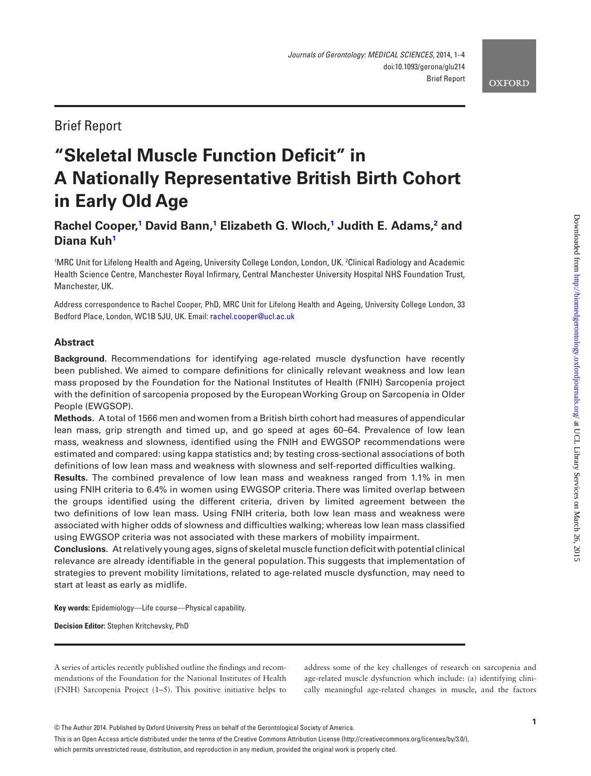# Brief Report

# **"Skeletal Muscle Function Deficit" in A Nationally Representative British Birth Cohort in Early Old Age**

# **Rachel Cooper[,1](#page-0-0) David Bann,[1](#page-0-0) Elizabeth G. Wloch,[1](#page-0-0) Judith E. Adams[,2](#page-0-1) and Diana Ku[h1](#page-0-0)**

<span id="page-0-1"></span><span id="page-0-0"></span>1 MRC Unit for Lifelong Health and Ageing, University College London, London, UK. 2 Clinical Radiology and Academic Health Science Centre, Manchester Royal Infirmary, Central Manchester University Hospital NHS Foundation Trust, Manchester, UK.

Address correspondence to Rachel Cooper, PhD, MRC Unit for Lifelong Health and Ageing, University College London, 33 Bedford Place, London, WC1B 5JU, UK. Email: [rachel.cooper@ucl.ac.uk](mailto:rachel.cooper@ucl.ac.uk?subject=)

# **Abstract**

**Background.** Recommendations for identifying age-related muscle dysfunction have recently been published. We aimed to compare definitions for clinically relevant weakness and low lean mass proposed by the Foundation for the National Institutes of Health (FNIH) Sarcopenia project with the definition of sarcopenia proposed by the European Working Group on Sarcopenia in Older People (EWGSOP).

**Methods.** A total of 1566 men and women from a British birth cohort had measures of appendicular lean mass, grip strength and timed up, and go speed at ages 60–64. Prevalence of low lean mass, weakness and slowness, identified using the FNIH and EWGSOP recommendations were estimated and compared: using kappa statistics and; by testing cross-sectional associations of both definitions of low lean mass and weakness with slowness and self-reported difficulties walking.

**Results.** The combined prevalence of low lean mass and weakness ranged from 1.1% in men using FNIH criteria to 6.4% in women using EWGSOP criteria. There was limited overlap between the groups identified using the different criteria, driven by limited agreement between the two definitions of low lean mass. Using FNIH criteria, both low lean mass and weakness were associated with higher odds of slowness and difficulties walking; whereas low lean mass classified using EWGSOP criteria was not associated with these markers of mobility impairment.

**Conclusions.** At relatively young ages, signs of skeletal muscle function deficit with potential clinical relevance are already identifiable in the general population. This suggests that implementation of strategies to prevent mobility limitations, related to age-related muscle dysfunction, may need to start at least as early as midlife.

**Key words:** Epidemiology—Life course—Physical capability.

**Decision Editor:** Stephen Kritchevsky, PhD

A series of articles recently published outline the findings and recommendations of the Foundation for the National Institutes of Health (FNIH) Sarcopenia Project ([1–5\)](#page-3-0). This positive initiative helps to

address some of the key challenges of research on sarcopenia and age-related muscle dysfunction which include: (a) identifying clinically meaningful age-related changes in muscle, and the factors

© The Author 2014. Published by Oxford University Press on behalf of the Gerontological Society of America.

This is an Open Access article distributed under the terms of the Creative Commons Attribution License (http://creativecommons.org/licenses/by/3.0/), which permits unrestricted reuse, distribution, and reproduction in any medium, provided the original work is properly cited.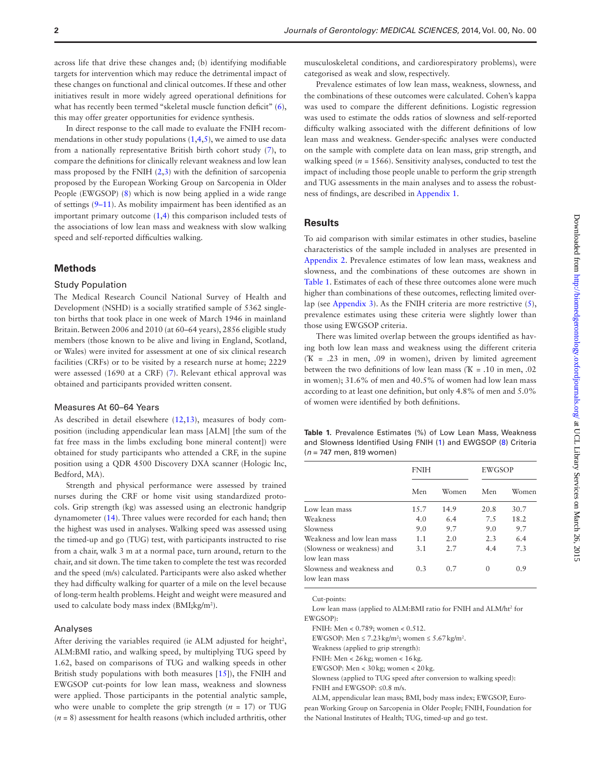across life that drive these changes and; (b) identifying modifiable targets for intervention which may reduce the detrimental impact of these changes on functional and clinical outcomes. If these and other initiatives result in more widely agreed operational definitions for what has recently been termed "skeletal muscle function deficit" ([6](#page-3-1)), this may offer greater opportunities for evidence synthesis.

In direct response to the call made to evaluate the FNIH recommendations in other study populations  $(1,4,5)$  $(1,4,5)$  $(1,4,5)$  $(1,4,5)$ , we aimed to use data from a nationally representative British birth cohort study [\(7\)](#page-3-4), to compare the definitions for clinically relevant weakness and low lean mass proposed by the FNIH  $(2,3)$  $(2,3)$  $(2,3)$  with the definition of sarcopenia proposed by the European Working Group on Sarcopenia in Older People (EWGSOP) [\(8\)](#page-3-7) which is now being applied in a wide range of settings ([9–11](#page-3-8)). As mobility impairment has been identified as an important primary outcome [\(1,](#page-3-0)[4](#page-3-2)) this comparison included tests of the associations of low lean mass and weakness with slow walking speed and self-reported difficulties walking.

#### **Methods**

#### Study Population

The Medical Research Council National Survey of Health and Development (NSHD) is a socially stratified sample of 5362 singleton births that took place in one week of March 1946 in mainland Britain. Between 2006 and 2010 (at 60–64 years), 2856 eligible study members (those known to be alive and living in England, Scotland, or Wales) were invited for assessment at one of six clinical research facilities (CRFs) or to be visited by a research nurse at home; 2229 were assessed (1690 at a CRF) [\(7\)](#page-3-4). Relevant ethical approval was obtained and participants provided written consent.

#### Measures At 60–64 Years

As described in detail elsewhere [\(12](#page-3-9)[,13](#page-3-10)), measures of body composition (including appendicular lean mass [ALM] [the sum of the fat free mass in the limbs excluding bone mineral content]) were obtained for study participants who attended a CRF, in the supine position using a QDR 4500 Discovery DXA scanner (Hologic Inc, Bedford, MA).

Strength and physical performance were assessed by trained nurses during the CRF or home visit using standardized protocols. Grip strength (kg) was assessed using an electronic handgrip dynamometer [\(14](#page-3-11)). Three values were recorded for each hand; then the highest was used in analyses. Walking speed was assessed using the timed-up and go (TUG) test, with participants instructed to rise from a chair, walk 3 m at a normal pace, turn around, return to the chair, and sit down. The time taken to complete the test was recorded and the speed (m/s) calculated. Participants were also asked whether they had difficulty walking for quarter of a mile on the level because of long-term health problems. Height and weight were measured and used to calculate body mass index (BMI;kg/m<sup>2</sup>).

#### Analyses

After deriving the variables required (ie  $\Lambda$ LM adjusted for height<sup>2</sup>, ALM:BMI ratio, and walking speed, by multiplying TUG speed by 1.62, based on comparisons of TUG and walking speeds in other British study populations with both measures [[15\]](#page-3-12)), the FNIH and EWGSOP cut-points for low lean mass, weakness and slowness were applied. Those participants in the potential analytic sample, who were unable to complete the grip strength  $(n = 17)$  or TUG  $(n = 8)$  assessment for health reasons (which included arthritis, other

musculoskeletal conditions, and cardiorespiratory problems), were categorised as weak and slow, respectively.

Prevalence estimates of low lean mass, weakness, slowness, and the combinations of these outcomes were calculated. Cohen's kappa was used to compare the different definitions. Logistic regression was used to estimate the odds ratios of slowness and self-reported difficulty walking associated with the different definitions of low lean mass and weakness. Gender-specific analyses were conducted on the sample with complete data on lean mass, grip strength, and walking speed ( $n = 1566$ ). Sensitivity analyses, conducted to test the impact of including those people unable to perform the grip strength and TUG assessments in the main analyses and to assess the robustness of findings, are described in [Appendix 1](http://biomedgerontology.oxfordjournals.org/lookup/suppl/doi:10.1093/gerona/glu214/-/DC1).

#### **Results**

To aid comparison with similar estimates in other studies, baseline characteristics of the sample included in analyses are presented in [Appendix 2.](http://biomedgerontology.oxfordjournals.org/lookup/suppl/doi:10.1093/gerona/glu214/-/DC1) Prevalence estimates of low lean mass, weakness and slowness, and the combinations of these outcomes are shown in [Table 1](#page-1-0). Estimates of each of these three outcomes alone were much higher than combinations of these outcomes, reflecting limited overlap (see [Appendix 3](http://biomedgerontology.oxfordjournals.org/lookup/suppl/doi:10.1093/gerona/glu214/-/DC1)). As the FNIH criteria are more restrictive ([5](#page-3-3)), prevalence estimates using these criteria were slightly lower than those using EWGSOP criteria.

There was limited overlap between the groups identified as having both low lean mass and weakness using the different criteria (Ҡ = .23 in men, .09 in women), driven by limited agreement between the two definitions of low lean mass ( $K = .10$  in men, .02 in women); 31.6% of men and 40.5% of women had low lean mass according to at least one definition, but only 4.8% of men and 5.0% of women were identified by both definitions.

<span id="page-1-0"></span>**Table 1.** Prevalence Estimates (%) of Low Lean Mass, Weakness and Slowness Identified Using FNIH ([1\)](#page-3-0) and EWGSOP [\(8\)](#page-3-7) Criteria (*n* = 747 men, 819 women)

|                                             | <b>FNIH</b> |       | <b>EWGSOP</b>    |       |
|---------------------------------------------|-------------|-------|------------------|-------|
|                                             | Men         | Women | Men              | Women |
| Low lean mass                               | 15.7        | 14.9  | 20.8             | 30.7  |
| Weakness                                    | 4.0         | 6.4   | 7.5              | 18.2  |
| Slowness                                    | 9.0         | 9.7   | 9.0              | 9.7   |
| Weakness and low lean mass                  | 1.1         | 2.0   | 2.3              | 6.4   |
| (Slowness or weakness) and<br>low lean mass | 3.1         | 2.7   | 4.4              | 7.3   |
| Slowness and weakness and<br>low lean mass  | 0.3         | 0.7   | $\left( \right)$ | 0.9   |

Cut-points:

Low lean mass (applied to ALM:BMI ratio for FNIH and ALM/ht<sup>2</sup> for EWGSOP):

FNIH: Men < 0.789; women < 0.512.

EWGSOP: Men  $\leq 7.23 \text{ kg/m}^2$ ; women  $\leq 5.67 \text{ kg/m}^2$ .

Weakness (applied to grip strength):

FNIH: Men < 26kg; women < 16kg.

EWGSOP: Men < 30kg; women < 20kg.

Slowness (applied to TUG speed after conversion to walking speed): FNIH and EWGSOP: ≤0.8 m/s.

ALM, appendicular lean mass; BMI, body mass index; EWGSOP, European Working Group on Sarcopenia in Older People; FNIH, Foundation for the National Institutes of Health; TUG, timed-up and go test.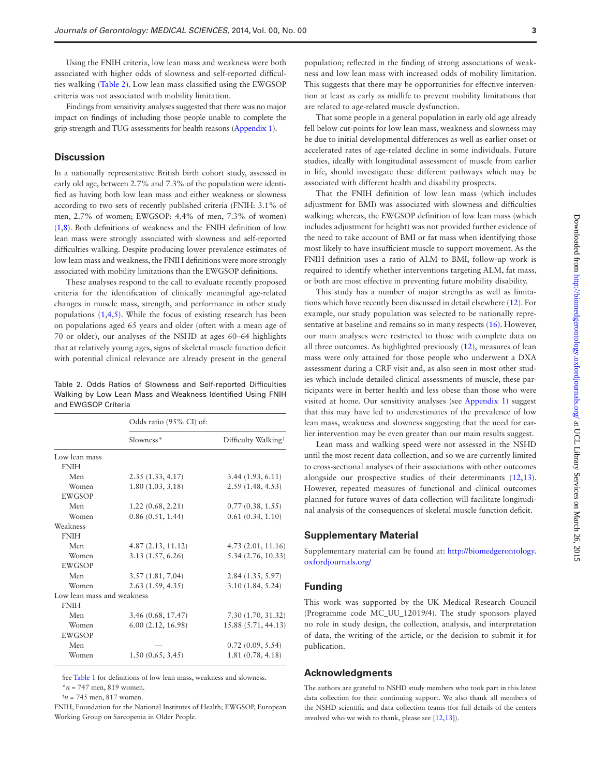Using the FNIH criteria, low lean mass and weakness were both associated with higher odds of slowness and self-reported difficulties walking [\(Table 2\)](#page-2-0). Low lean mass classified using the EWGSOP criteria was not associated with mobility limitation.

Findings from sensitivity analyses suggested that there was no major impact on findings of including those people unable to complete the grip strength and TUG assessments for health reasons [\(Appendix 1\)](http://biomedgerontology.oxfordjournals.org/lookup/suppl/doi:10.1093/gerona/glu214/-/DC1).

## **Discussion**

In a nationally representative British birth cohort study, assessed in early old age, between 2.7% and 7.3% of the population were identified as having both low lean mass and either weakness or slowness according to two sets of recently published criteria (FNIH: 3.1% of men, 2.7% of women; EWGSOP: 4.4% of men, 7.3% of women) [\(1,](#page-3-0)[8](#page-3-7)). Both definitions of weakness and the FNIH definition of low lean mass were strongly associated with slowness and self-reported difficulties walking. Despite producing lower prevalence estimates of low lean mass and weakness, the FNIH definitions were more strongly associated with mobility limitations than the EWGSOP definitions.

These analyses respond to the call to evaluate recently proposed criteria for the identification of clinically meaningful age-related changes in muscle mass, strength, and performance in other study populations  $(1,4,5)$  $(1,4,5)$  $(1,4,5)$  $(1,4,5)$ . While the focus of existing research has been on populations aged 65 years and older (often with a mean age of 70 or older), our analyses of the NSHD at ages 60–64 highlights that at relatively young ages, signs of skeletal muscle function deficit with potential clinical relevance are already present in the general

<span id="page-2-0"></span>Table 2. Odds Ratios of Slowness and Self-reported Difficulties Walking by Low Lean Mass and Weakness Identified Using FNIH and EWGSOP Criteria

|                            | Odds ratio (95% CI) of: |                                 |  |
|----------------------------|-------------------------|---------------------------------|--|
|                            | Slowness*               | Difficulty Walking <sup>+</sup> |  |
| Low lean mass              |                         |                                 |  |
| <b>FNIH</b>                |                         |                                 |  |
| Men                        | 2.35(1.33, 4.17)        | 3.44(1.93, 6.11)                |  |
| Women                      | 1.80(1.03, 3.18)        | 2.59(1.48, 4.53)                |  |
| <b>EWGSOP</b>              |                         |                                 |  |
| Men                        | 1.22(0.68, 2.21)        | 0.77(0.38, 1.55)                |  |
| Women                      | 0.86(0.51, 1.44)        | 0.61(0.34, 1.10)                |  |
| Weakness                   |                         |                                 |  |
| <b>FNIH</b>                |                         |                                 |  |
| Men                        | 4.87(2.13, 11.12)       | 4.73(2.01, 11.16)               |  |
| Women                      | 3.13(1.57, 6.26)        | 5.34(2.76, 10.33)               |  |
| <b>EWGSOP</b>              |                         |                                 |  |
| Men                        | 3.57(1.81, 7.04)        | 2.84(1.35, 5.97)                |  |
| Women                      | 2.63(1.59, 4.35)        | 3.10(1.84, 5.24)                |  |
| Low lean mass and weakness |                         |                                 |  |
| <b>FNIH</b>                |                         |                                 |  |
| Men                        | 3.46(0.68, 17.47)       | 7.30 (1.70, 31.32)              |  |
| Women                      | 6.00(2.12, 16.98)       | 15.88 (5.71, 44.13)             |  |
| <b>EWGSOP</b>              |                         |                                 |  |
| Men                        |                         | 0.72(0.09, 5.54)                |  |
| Women                      | 1.50(0.65, 3.45)        | 1.81(0.78, 4.18)                |  |

See [Table 1](#page-1-0) for definitions of low lean mass, weakness and slowness.

\**n* = 747 men, 819 women.

 $^{\dagger}$ *n* = 745 men, 817 women.

FNIH, Foundation for the National Institutes of Health; EWGSOP, European Working Group on Sarcopenia in Older People.

population; reflected in the finding of strong associations of weakness and low lean mass with increased odds of mobility limitation. This suggests that there may be opportunities for effective intervention at least as early as midlife to prevent mobility limitations that are related to age-related muscle dysfunction.

That some people in a general population in early old age already fell below cut-points for low lean mass, weakness and slowness may be due to initial developmental differences as well as earlier onset or accelerated rates of age-related decline in some individuals. Future studies, ideally with longitudinal assessment of muscle from earlier in life, should investigate these different pathways which may be associated with different health and disability prospects.

That the FNIH definition of low lean mass (which includes adjustment for BMI) was associated with slowness and difficulties walking; whereas, the EWGSOP definition of low lean mass (which includes adjustment for height) was not provided further evidence of the need to take account of BMI or fat mass when identifying those most likely to have insufficient muscle to support movement. As the FNIH definition uses a ratio of ALM to BMI, follow-up work is required to identify whether interventions targeting ALM, fat mass, or both are most effective in preventing future mobility disability.

This study has a number of major strengths as well as limitations which have recently been discussed in detail elsewhere [\(12](#page-3-9)). For example, our study population was selected to be nationally representative at baseline and remains so in many respects ([16](#page-3-13)). However, our main analyses were restricted to those with complete data on all three outcomes. As highlighted previously [\(12\)](#page-3-9), measures of lean mass were only attained for those people who underwent a DXA assessment during a CRF visit and, as also seen in most other studies which include detailed clinical assessments of muscle, these participants were in better health and less obese than those who were visited at home. Our sensitivity analyses (see [Appendix 1\)](http://biomedgerontology.oxfordjournals.org/lookup/suppl/doi:10.1093/gerona/glu214/-/DC1) suggest that this may have led to underestimates of the prevalence of low lean mass, weakness and slowness suggesting that the need for earlier intervention may be even greater than our main results suggest.

Lean mass and walking speed were not assessed in the NSHD until the most recent data collection, and so we are currently limited to cross-sectional analyses of their associations with other outcomes alongside our prospective studies of their determinants [\(12](#page-3-9)[,13](#page-3-10)). However, repeated measures of functional and clinical outcomes planned for future waves of data collection will facilitate longitudinal analysis of the consequences of skeletal muscle function deficit.

# **Supplementary Material**

Supplementary material can be found at: [http://biomedgerontology.](http://biomedgerontology.oxfordjournals.org/lookup/suppl/doi:10.1093/gerona/glu214/-/DC1) [oxfordjournals.org/](http://biomedgerontology.oxfordjournals.org/lookup/suppl/doi:10.1093/gerona/glu214/-/DC1)

#### **Funding**

This work was supported by the UK Medical Research Council (Programme code MC\_UU\_12019/4). The study sponsors played no role in study design, the collection, analysis, and interpretation of data, the writing of the article, or the decision to submit it for publication.

## **Acknowledgments**

The authors are grateful to NSHD study members who took part in this latest data collection for their continuing support. We also thank all members of the NSHD scientific and data collection teams (for full details of the centers involved who we wish to thank, please see [[12](#page-3-9)[,13\]](#page-3-10)).